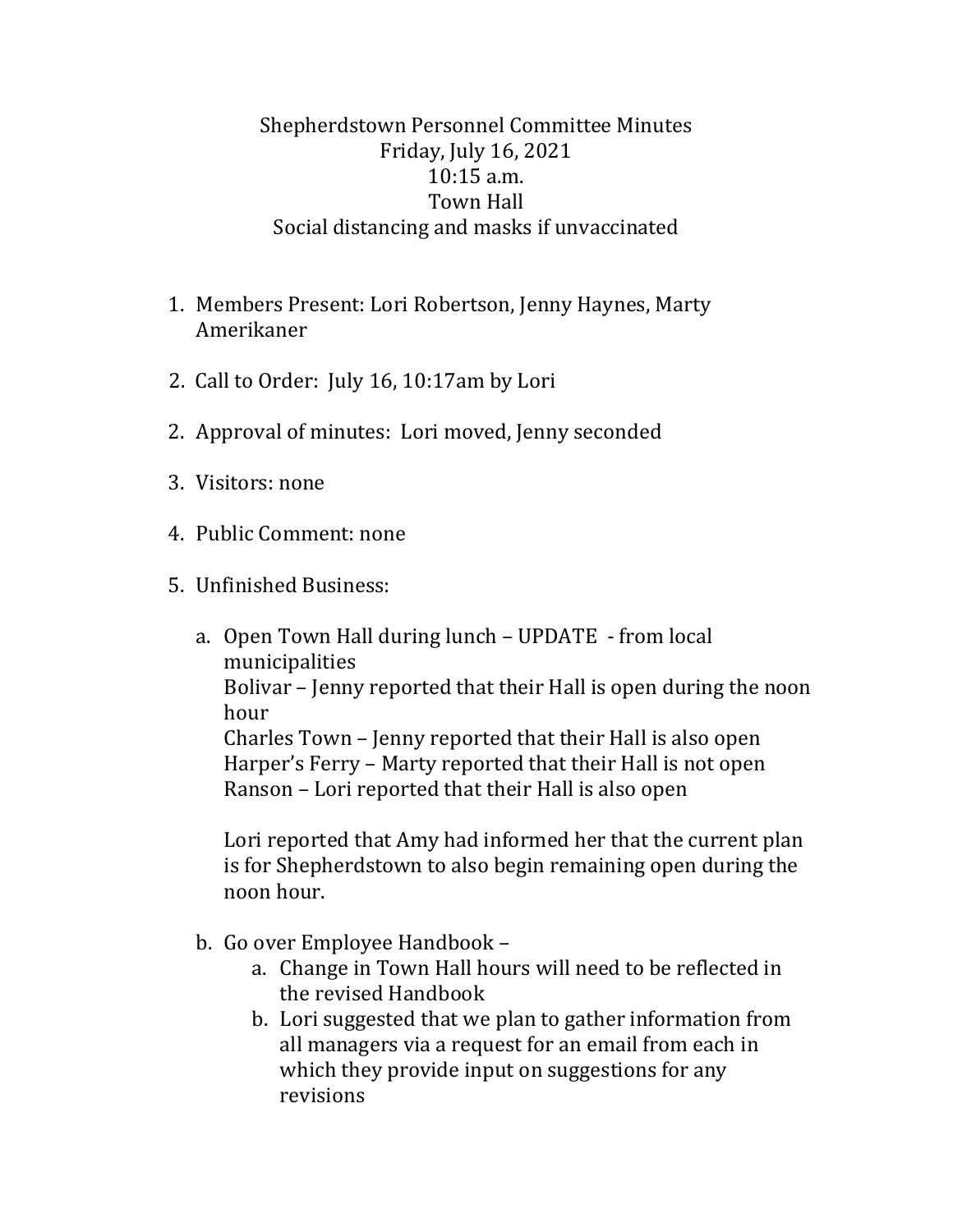Shepherdstown Personnel Committee Minutes Friday, July 16, 2021 10:15 a.m. Town Hall Social distancing and masks if unvaccinated

- 1. Members Present: Lori Robertson, Jenny Haynes, Marty Amerikaner
- 2. Call to Order: July 16, 10:17am by Lori
- 2. Approval of minutes: Lori moved, Jenny seconded
- 3. Visitors: none
- 4. Public Comment: none
- 5. Unfinished Business:
	- a. Open Town Hall during lunch UPDATE from local municipalities Bolivar – Jenny reported that their Hall is open during the noon hour Charles Town – Jenny reported that their Hall is also open Harper's Ferry – Marty reported that their Hall is not open Ranson – Lori reported that their Hall is also open

Lori reported that Amy had informed her that the current plan is for Shepherdstown to also begin remaining open during the noon hour.

- b. Go over Employee Handbook
	- a. Change in Town Hall hours will need to be reflected in the revised Handbook
	- b. Lori suggested that we plan to gather information from all managers via a request for an email from each in which they provide input on suggestions for any revisions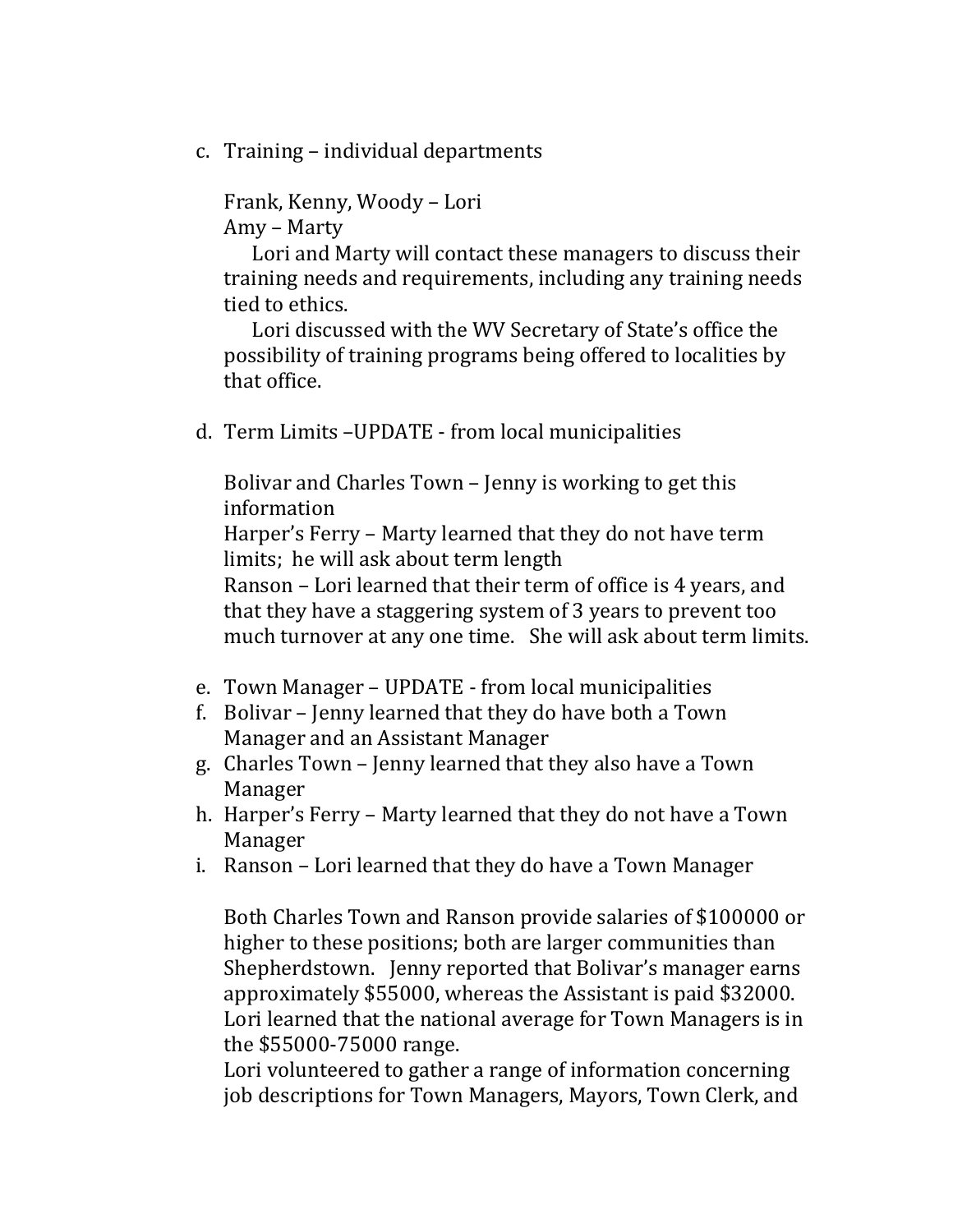c. Training – individual departments

Frank, Kenny, Woody – Lori Amy – Marty

Lori and Marty will contact these managers to discuss their training needs and requirements, including any training needs tied to ethics.

Lori discussed with the WV Secretary of State's office the possibility of training programs being offered to localities by that office.

d. Term Limits –UPDATE - from local municipalities

Bolivar and Charles Town – Jenny is working to get this information

Harper's Ferry – Marty learned that they do not have term limits; he will ask about term length

Ranson – Lori learned that their term of office is 4 years, and that they have a staggering system of 3 years to prevent too much turnover at any one time. She will ask about term limits.

- e. Town Manager UPDATE from local municipalities
- f. Bolivar Jenny learned that they do have both a Town Manager and an Assistant Manager
- g. Charles Town Jenny learned that they also have a Town Manager
- h. Harper's Ferry Marty learned that they do not have a Town Manager
- i. Ranson Lori learned that they do have a Town Manager

Both Charles Town and Ranson provide salaries of \$100000 or higher to these positions; both are larger communities than Shepherdstown. Jenny reported that Bolivar's manager earns approximately \$55000, whereas the Assistant is paid \$32000. Lori learned that the national average for Town Managers is in the \$55000-75000 range.

Lori volunteered to gather a range of information concerning job descriptions for Town Managers, Mayors, Town Clerk, and